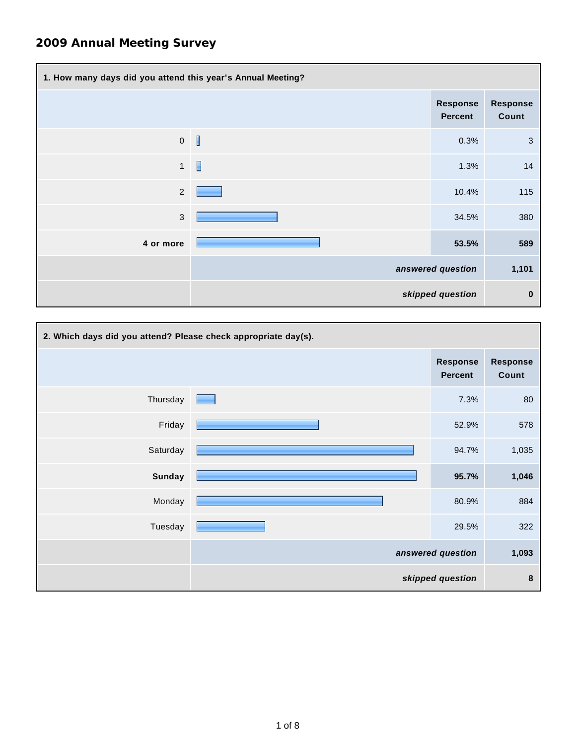| 1. How many days did you attend this year's Annual Meeting? |                          |                                   |                          |  |
|-------------------------------------------------------------|--------------------------|-----------------------------------|--------------------------|--|
|                                                             |                          | <b>Response</b><br><b>Percent</b> | <b>Response</b><br>Count |  |
| $\pmb{0}$                                                   | $\overline{\phantom{a}}$ | 0.3%                              | 3                        |  |
| $\mathbf{1}$                                                | $\Box$                   | 1.3%                              | 14                       |  |
| $\overline{2}$                                              |                          | 10.4%                             | 115                      |  |
| $\mathfrak{B}$                                              |                          | 34.5%                             | 380                      |  |
| 4 or more                                                   |                          | 53.5%                             | 589                      |  |
|                                                             |                          | answered question                 | 1,101                    |  |
|                                                             |                          | skipped question                  | $\bf{0}$                 |  |

| 2. Which days did you attend? Please check appropriate day(s). |  |                                   |                          |  |
|----------------------------------------------------------------|--|-----------------------------------|--------------------------|--|
|                                                                |  | <b>Response</b><br><b>Percent</b> | <b>Response</b><br>Count |  |
| Thursday                                                       |  | 7.3%                              | 80                       |  |
| Friday                                                         |  | 52.9%                             | 578                      |  |
| Saturday                                                       |  | 94.7%                             | 1,035                    |  |
| <b>Sunday</b>                                                  |  | 95.7%                             | 1,046                    |  |
| Monday                                                         |  | 80.9%                             | 884                      |  |
| Tuesday                                                        |  | 29.5%                             | 322                      |  |
|                                                                |  | answered question                 | 1,093                    |  |
|                                                                |  | skipped question                  | 8                        |  |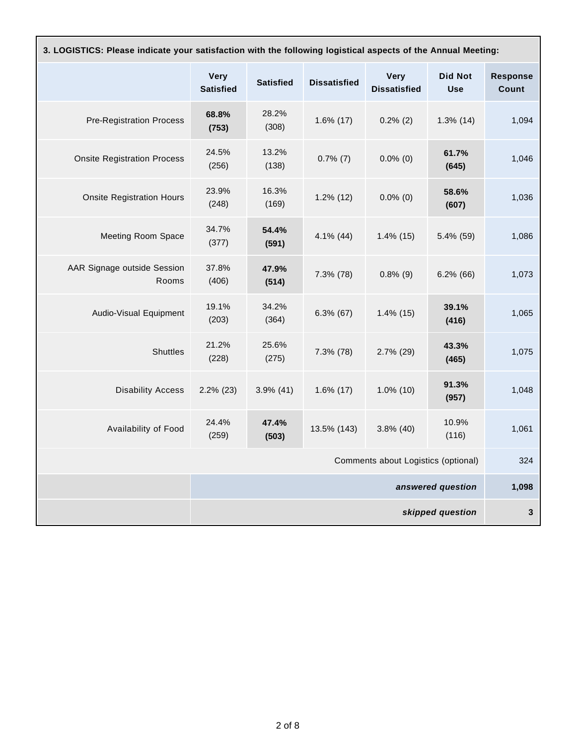|                                      | <b>Very</b><br><b>Satisfied</b> | <b>Satisfied</b> | <b>Dissatisfied</b> | <b>Very</b><br><b>Dissatisfied</b> | <b>Did Not</b><br><b>Use</b> | <b>Response</b><br><b>Count</b> |
|--------------------------------------|---------------------------------|------------------|---------------------|------------------------------------|------------------------------|---------------------------------|
| <b>Pre-Registration Process</b>      | 68.8%<br>(753)                  | 28.2%<br>(308)   | $1.6\%$ (17)        | $0.2\%$ (2)                        | $1.3\%$ (14)                 | 1,094                           |
| <b>Onsite Registration Process</b>   | 24.5%<br>(256)                  | 13.2%<br>(138)   | $0.7\%$ (7)         | $0.0\%$ (0)                        | 61.7%<br>(645)               | 1,046                           |
| <b>Onsite Registration Hours</b>     | 23.9%<br>(248)                  | 16.3%<br>(169)   | $1.2\%$ (12)        | $0.0\%$ (0)                        | 58.6%<br>(607)               | 1,036                           |
| <b>Meeting Room Space</b>            | 34.7%<br>(377)                  | 54.4%<br>(591)   | $4.1\%$ (44)        | $1.4\%$ (15)                       | 5.4% (59)                    | 1,086                           |
| AAR Signage outside Session<br>Rooms | 37.8%<br>(406)                  | 47.9%<br>(514)   | 7.3% (78)           | $0.8\%$ (9)                        | $6.2\%$ (66)                 | 1,073                           |
| Audio-Visual Equipment               | 19.1%<br>(203)                  | 34.2%<br>(364)   | $6.3\%$ (67)        | $1.4\%$ (15)                       | 39.1%<br>(416)               | 1,065                           |
| <b>Shuttles</b>                      | 21.2%<br>(228)                  | 25.6%<br>(275)   | 7.3% (78)           | $2.7\%$ (29)                       | 43.3%<br>(465)               | 1,075                           |
| <b>Disability Access</b>             | $2.2\%$ (23)                    | $3.9\%$ (41)     | $1.6\%$ (17)        | $1.0\%$ (10)                       | 91.3%<br>(957)               | 1,048                           |
| Availability of Food                 | 24.4%<br>(259)                  | 47.4%<br>(503)   | 13.5% (143)         | $3.8\%$ (40)                       | 10.9%<br>(116)               | 1,061                           |
| Comments about Logistics (optional)  |                                 |                  |                     | 324                                |                              |                                 |
| answered question                    |                                 |                  |                     | 1,098                              |                              |                                 |
| skipped question                     |                                 |                  |                     | 3                                  |                              |                                 |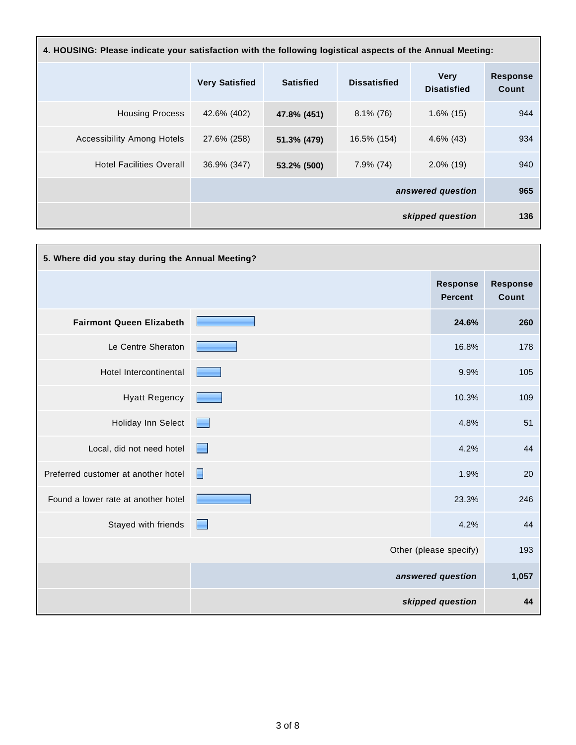| 4. HOUSING: Please indicate your satisfaction with the following logistical aspects of the Annual Meeting: |                       |                   |                     |                                   |                          |  |
|------------------------------------------------------------------------------------------------------------|-----------------------|-------------------|---------------------|-----------------------------------|--------------------------|--|
|                                                                                                            | <b>Very Satisfied</b> | <b>Satisfied</b>  | <b>Dissatisfied</b> | <b>Very</b><br><b>Disatisfied</b> | <b>Response</b><br>Count |  |
| <b>Housing Process</b>                                                                                     | 42.6% (402)           | 47.8% (451)       | $8.1\%$ (76)        | $1.6\%$ (15)                      | 944                      |  |
| <b>Accessibility Among Hotels</b>                                                                          | 27.6% (258)           | 51.3% (479)       | 16.5% (154)         | $4.6\%$ (43)                      | 934                      |  |
| <b>Hotel Facilities Overall</b>                                                                            | 36.9% (347)           | 53.2% (500)       | 7.9% (74)           | $2.0\%$ (19)                      | 940                      |  |
|                                                                                                            |                       | answered question |                     |                                   |                          |  |
|                                                                                                            |                       |                   |                     | skipped question                  | 136                      |  |

| 5. Where did you stay during the Annual Meeting? |                                   |                                   |                          |  |
|--------------------------------------------------|-----------------------------------|-----------------------------------|--------------------------|--|
|                                                  |                                   | <b>Response</b><br><b>Percent</b> | <b>Response</b><br>Count |  |
| <b>Fairmont Queen Elizabeth</b>                  |                                   | 24.6%                             | 260                      |  |
| Le Centre Sheraton                               |                                   | 16.8%                             | 178                      |  |
| Hotel Intercontinental                           |                                   | 9.9%                              | 105                      |  |
| <b>Hyatt Regency</b>                             |                                   | 10.3%                             | 109                      |  |
| Holiday Inn Select                               | <b>Contract Contract Contract</b> | 4.8%                              | 51                       |  |
| Local, did not need hotel                        | E                                 | 4.2%                              | 44                       |  |
| Preferred customer at another hotel              | F                                 | 1.9%                              | 20                       |  |
| Found a lower rate at another hotel              |                                   | 23.3%                             | 246                      |  |
| Stayed with friends                              |                                   | 4.2%                              | 44                       |  |
|                                                  |                                   | Other (please specify)            | 193                      |  |
|                                                  |                                   | answered question                 | 1,057                    |  |
|                                                  |                                   | skipped question                  | 44                       |  |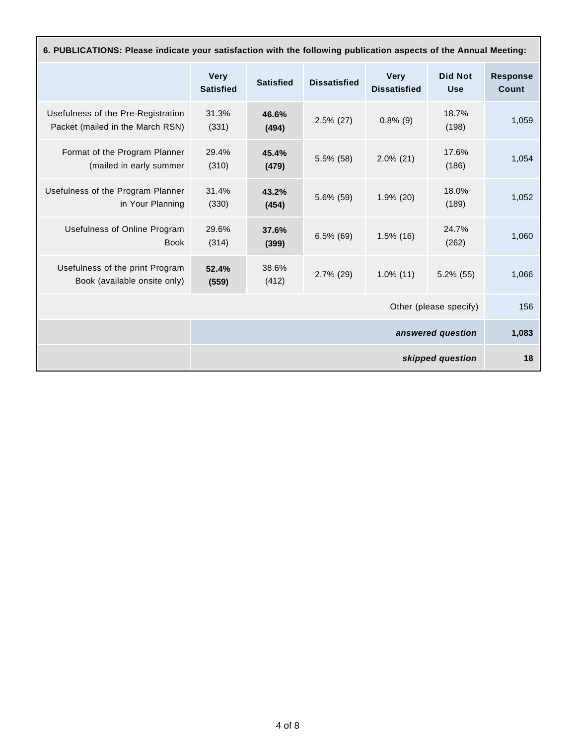| 6. PUBLICATIONS: Please indicate your satisfaction with the following publication aspects of the Annual Meeting: |                                 |                  |                     |                                    |                              |                          |
|------------------------------------------------------------------------------------------------------------------|---------------------------------|------------------|---------------------|------------------------------------|------------------------------|--------------------------|
|                                                                                                                  | <b>Very</b><br><b>Satisfied</b> | <b>Satisfied</b> | <b>Dissatisfied</b> | <b>Very</b><br><b>Dissatisfied</b> | <b>Did Not</b><br><b>Use</b> | <b>Response</b><br>Count |
| Usefulness of the Pre-Registration<br>Packet (mailed in the March RSN)                                           | 31.3%<br>(331)                  | 46.6%<br>(494)   | $2.5\%$ (27)        | $0.8\%$ (9)                        | 18.7%<br>(198)               | 1,059                    |
| Format of the Program Planner<br>(mailed in early summer                                                         | 29.4%<br>(310)                  | 45.4%<br>(479)   | $5.5\%$ (58)        | $2.0\%$ (21)                       | 17.6%<br>(186)               | 1,054                    |
| Usefulness of the Program Planner<br>in Your Planning                                                            | 31.4%<br>(330)                  | 43.2%<br>(454)   | 5.6% (59)           | $1.9\%$ (20)                       | 18.0%<br>(189)               | 1,052                    |
| Usefulness of Online Program<br><b>Book</b>                                                                      | 29.6%<br>(314)                  | 37.6%<br>(399)   | $6.5\%$ (69)        | $1.5\%$ (16)                       | 24.7%<br>(262)               | 1,060                    |
| Usefulness of the print Program<br>Book (available onsite only)                                                  | 52.4%<br>(559)                  | 38.6%<br>(412)   | $2.7\%$ (29)        | $1.0\%$ (11)                       | $5.2\%$ (55)                 | 1,066                    |
| Other (please specify)                                                                                           |                                 |                  |                     |                                    | 156                          |                          |
| answered question                                                                                                |                                 |                  |                     | 1,083                              |                              |                          |
|                                                                                                                  |                                 |                  |                     |                                    | skipped question             | 18                       |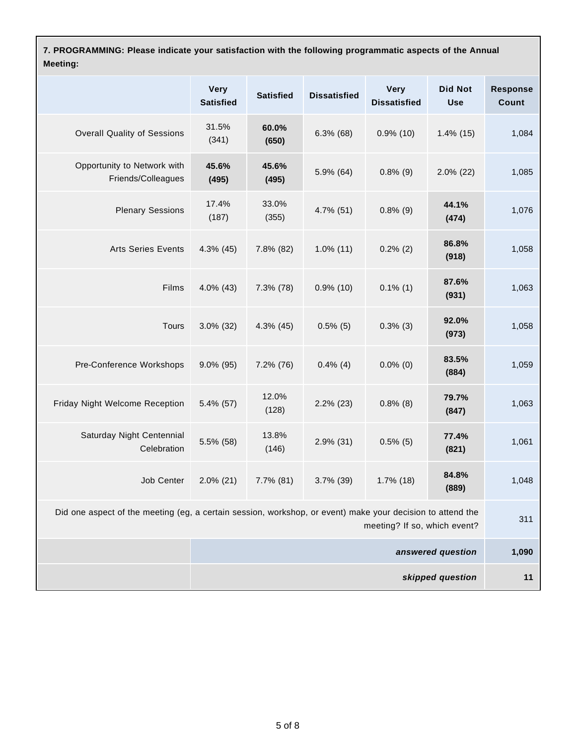**7. PROGRAMMING: Please indicate your satisfaction with the following programmatic aspects of the Annual Meeting:**

|                                                                                                                                            | <b>Very</b><br><b>Satisfied</b> | <b>Satisfied</b> | <b>Dissatisfied</b> | <b>Very</b><br><b>Dissatisfied</b> | <b>Did Not</b><br><b>Use</b> | <b>Response</b><br>Count |
|--------------------------------------------------------------------------------------------------------------------------------------------|---------------------------------|------------------|---------------------|------------------------------------|------------------------------|--------------------------|
| <b>Overall Quality of Sessions</b>                                                                                                         | 31.5%<br>(341)                  | 60.0%<br>(650)   | $6.3\%$ (68)        | $0.9\%$ (10)                       | $1.4\%$ (15)                 | 1,084                    |
| Opportunity to Network with<br>Friends/Colleagues                                                                                          | 45.6%<br>(495)                  | 45.6%<br>(495)   | 5.9% (64)           | $0.8\%$ (9)                        | $2.0\%$ (22)                 | 1,085                    |
| <b>Plenary Sessions</b>                                                                                                                    | 17.4%<br>(187)                  | 33.0%<br>(355)   | 4.7% (51)           | $0.8\%$ (9)                        | 44.1%<br>(474)               | 1,076                    |
| <b>Arts Series Events</b>                                                                                                                  | 4.3% (45)                       | 7.8% (82)        | $1.0\%$ (11)        | $0.2\%$ (2)                        | 86.8%<br>(918)               | 1,058                    |
| Films                                                                                                                                      | 4.0% (43)                       | 7.3% (78)        | $0.9\%$ (10)        | $0.1\%$ (1)                        | 87.6%<br>(931)               | 1,063                    |
| Tours                                                                                                                                      | $3.0\%$ (32)                    | $4.3\%$ (45)     | $0.5\%$ (5)         | $0.3\%$ (3)                        | 92.0%<br>(973)               | 1,058                    |
| Pre-Conference Workshops                                                                                                                   | $9.0\%$ (95)                    | 7.2% (76)        | $0.4\%$ (4)         | $0.0\%$ (0)                        | 83.5%<br>(884)               | 1,059                    |
| Friday Night Welcome Reception                                                                                                             | 5.4% (57)                       | 12.0%<br>(128)   | $2.2\%$ (23)        | $0.8\%$ (8)                        | 79.7%<br>(847)               | 1,063                    |
| Saturday Night Centennial<br>Celebration                                                                                                   | 5.5% (58)                       | 13.8%<br>(146)   | $2.9\%$ (31)        | $0.5\%$ (5)                        | 77.4%<br>(821)               | 1,061                    |
| Job Center                                                                                                                                 | $2.0\%$ (21)                    | $7.7\%$ (81)     | 3.7% (39)           | $1.7\%$ (18)                       | 84.8%<br>(889)               | 1,048                    |
| Did one aspect of the meeting (eg, a certain session, workshop, or event) make your decision to attend the<br>meeting? If so, which event? |                                 |                  |                     |                                    | 311                          |                          |
|                                                                                                                                            |                                 |                  |                     |                                    | answered question            | 1,090                    |
|                                                                                                                                            |                                 |                  |                     |                                    | skipped question             | 11                       |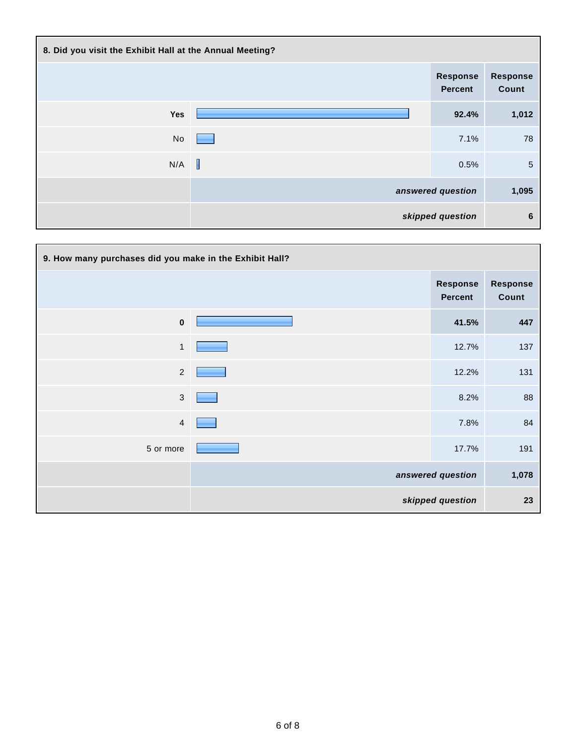| 8. Did you visit the Exhibit Hall at the Annual Meeting? |             |                                   |                          |  |  |
|----------------------------------------------------------|-------------|-----------------------------------|--------------------------|--|--|
|                                                          |             | <b>Response</b><br><b>Percent</b> | <b>Response</b><br>Count |  |  |
| Yes                                                      |             | 92.4%                             | 1,012                    |  |  |
| No                                                       |             | 7.1%                              | 78                       |  |  |
| N/A                                                      | $\mathbb I$ | 0.5%                              | $\overline{5}$           |  |  |
|                                                          |             | answered question                 | 1,095                    |  |  |
|                                                          |             | skipped question                  | 6                        |  |  |

| 9. How many purchases did you make in the Exhibit Hall? |  |                                   |                          |  |
|---------------------------------------------------------|--|-----------------------------------|--------------------------|--|
|                                                         |  | <b>Response</b><br><b>Percent</b> | <b>Response</b><br>Count |  |
| $\bf{0}$                                                |  | 41.5%                             | 447                      |  |
| $\mathbf{1}$                                            |  | 12.7%                             | 137                      |  |
| $\overline{2}$                                          |  | 12.2%                             | 131                      |  |
| $\mathbf{3}$                                            |  | 8.2%                              | 88                       |  |
| 4                                                       |  | 7.8%                              | 84                       |  |
| 5 or more                                               |  | 17.7%                             | 191                      |  |
|                                                         |  | answered question                 | 1,078                    |  |
|                                                         |  | skipped question                  | 23                       |  |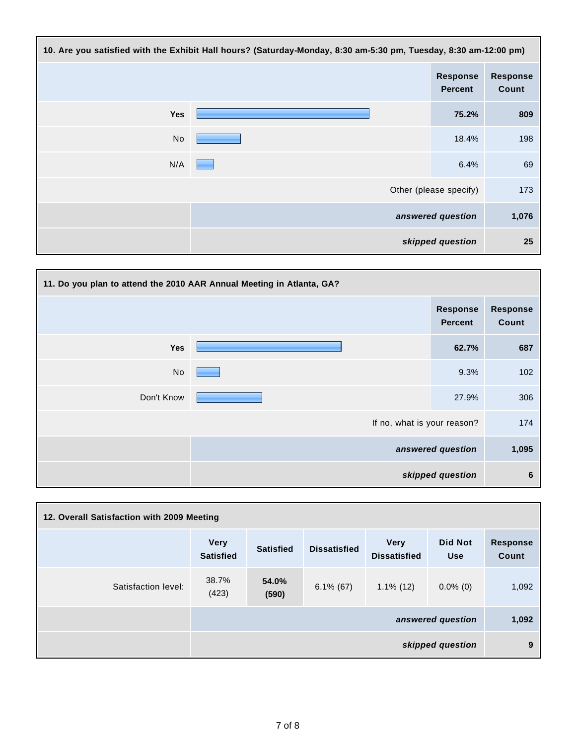| 10. Are you satisfied with the Exhibit Hall hours? (Saturday-Monday, 8:30 am-5:30 pm, Tuesday, 8:30 am-12:00 pm) |  |                                   |                          |  |
|------------------------------------------------------------------------------------------------------------------|--|-----------------------------------|--------------------------|--|
|                                                                                                                  |  | <b>Response</b><br><b>Percent</b> | <b>Response</b><br>Count |  |
| Yes                                                                                                              |  | 75.2%                             | 809                      |  |
| No                                                                                                               |  | 18.4%                             | 198                      |  |
| N/A                                                                                                              |  | 6.4%                              | 69                       |  |
|                                                                                                                  |  | Other (please specify)            | 173                      |  |
|                                                                                                                  |  | answered question                 | 1,076                    |  |
|                                                                                                                  |  | skipped question                  | 25                       |  |



| 12. Overall Satisfaction with 2009 Meeting |                                 |                  |                     |                                    |                              |                                 |
|--------------------------------------------|---------------------------------|------------------|---------------------|------------------------------------|------------------------------|---------------------------------|
|                                            | <b>Very</b><br><b>Satisfied</b> | <b>Satisfied</b> | <b>Dissatisfied</b> | <b>Very</b><br><b>Dissatisfied</b> | <b>Did Not</b><br><b>Use</b> | <b>Response</b><br><b>Count</b> |
| Satisfaction level:                        | 38.7%<br>(423)                  | 54.0%<br>(590)   | $6.1\%$ (67)        | $1.1\%$ (12)                       | $0.0\%$ (0)                  | 1,092                           |
|                                            |                                 |                  |                     |                                    | answered question            | 1,092                           |
| skipped question                           |                                 |                  |                     | 9                                  |                              |                                 |